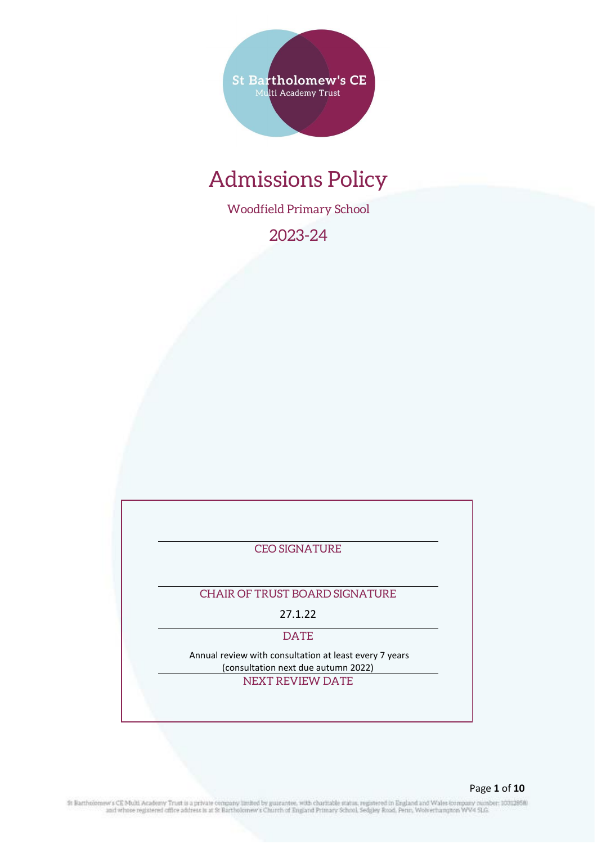**St Bartholomew's CE** Multi Academy Trust

# Admissions Policy

Woodfield Primary School

2023-24

CEO SIGNATURE

# CHAIR OF TRUST BOARD SIGNATURE

27.1.22

DATE

Annual review with consultation at least every 7 years (consultation next due autumn 2022)

NEXT REVIEW DATE

St Bartholomew's CE Multi Academy Trust is a private company limited by guarantee, with charitable status, registered in England and Wales company number: 10312858)<br>and whose registered office address is at St Bartholomew'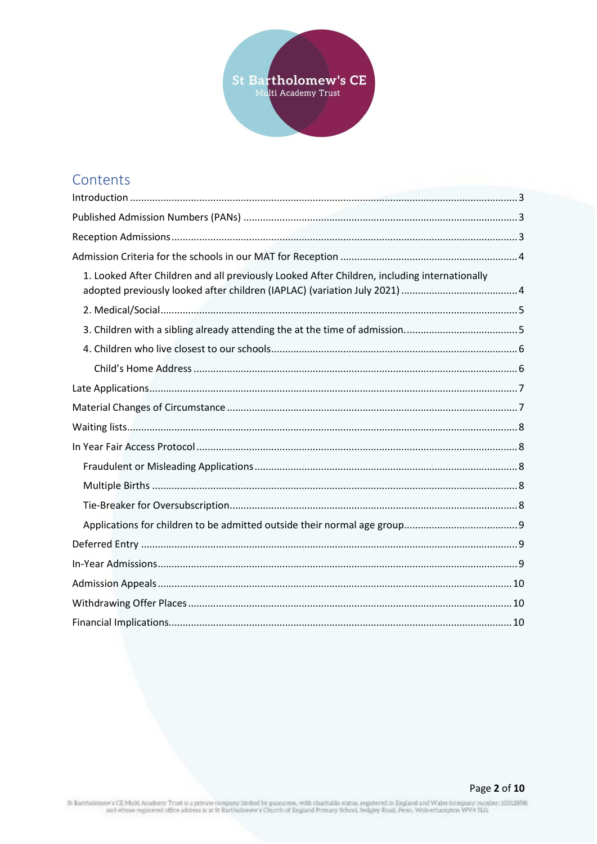

# Contents

| 1. Looked After Children and all previously Looked After Children, including internationally |  |
|----------------------------------------------------------------------------------------------|--|
|                                                                                              |  |
|                                                                                              |  |
|                                                                                              |  |
|                                                                                              |  |
|                                                                                              |  |
|                                                                                              |  |
|                                                                                              |  |
|                                                                                              |  |
|                                                                                              |  |
|                                                                                              |  |
|                                                                                              |  |
|                                                                                              |  |
|                                                                                              |  |
|                                                                                              |  |
|                                                                                              |  |
|                                                                                              |  |
|                                                                                              |  |

St Bartholomew's CE Multi Academy Trust is a private company limited by guarantee, with charitable status, registered in England and Wales company number: 10312858)<br>and whose registered office address is at St Bartholomew'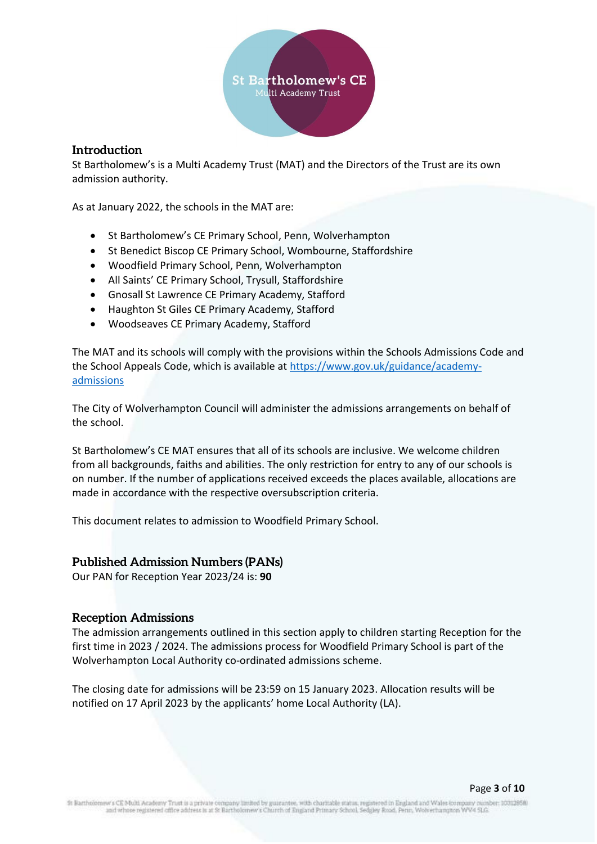

#### <span id="page-2-0"></span>**Introduction**

St Bartholomew's is a Multi Academy Trust (MAT) and the Directors of the Trust are its own admission authority.

As at January 2022, the schools in the MAT are:

- St Bartholomew's CE Primary School, Penn, Wolverhampton
- St Benedict Biscop CE Primary School, Wombourne, Staffordshire
- Woodfield Primary School, Penn, Wolverhampton
- All Saints' CE Primary School, Trysull, Staffordshire
- Gnosall St Lawrence CE Primary Academy, Stafford
- Haughton St Giles CE Primary Academy, Stafford
- Woodseaves CE Primary Academy, Stafford

The MAT and its schools will comply with the provisions within the Schools Admissions Code and the School Appeals Code, which is available at [https://www.gov.uk/guidance/academy](https://www.gov.uk/guidance/academy-admissions)[admissions](https://www.gov.uk/guidance/academy-admissions)

The City of Wolverhampton Council will administer the admissions arrangements on behalf of the school.

St Bartholomew's CE MAT ensures that all of its schools are inclusive. We welcome children from all backgrounds, faiths and abilities. The only restriction for entry to any of our schools is on number. If the number of applications received exceeds the places available, allocations are made in accordance with the respective oversubscription criteria.

This document relates to admission to Woodfield Primary School.

#### <span id="page-2-1"></span>**Published Admission Numbers (PANs)**

Our PAN for Reception Year 2023/24 is: **90**

#### <span id="page-2-2"></span>**Reception Admissions**

The admission arrangements outlined in this section apply to children starting Reception for the first time in 2023 / 2024. The admissions process for Woodfield Primary School is part of the Wolverhampton Local Authority co-ordinated admissions scheme.

The closing date for admissions will be 23:59 on 15 January 2023. Allocation results will be notified on 17 April 2023 by the applicants' home Local Authority (LA).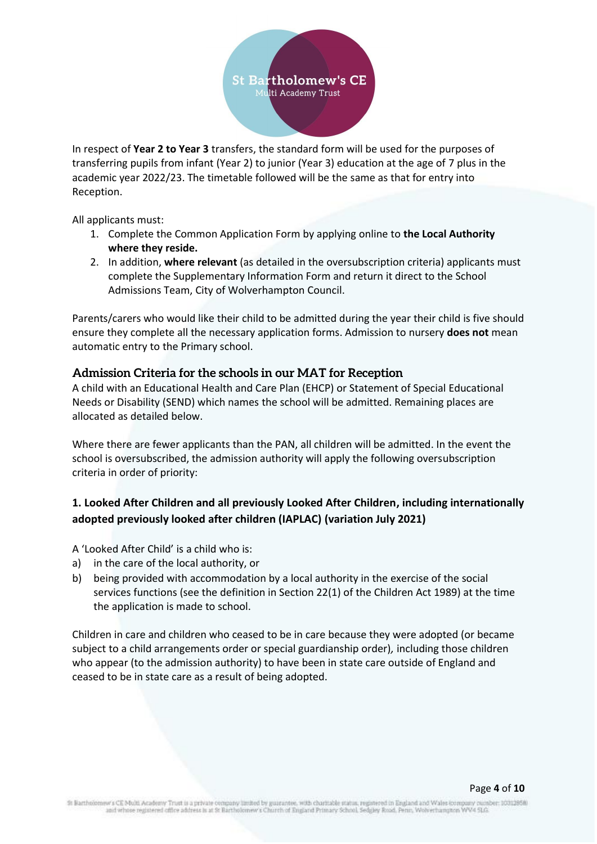

In respect of **Year 2 to Year 3** transfers, the standard form will be used for the purposes of transferring pupils from infant (Year 2) to junior (Year 3) education at the age of 7 plus in the academic year 2022/23. The timetable followed will be the same as that for entry into Reception.

All applicants must:

- 1. Complete the Common Application Form by applying online to **the Local Authority where they reside.**
- 2. In addition, **where relevant** (as detailed in the oversubscription criteria) applicants must complete the Supplementary Information Form and return it direct to the School Admissions Team, City of Wolverhampton Council.

Parents/carers who would like their child to be admitted during the year their child is five should ensure they complete all the necessary application forms. Admission to nursery **does not** mean automatic entry to the Primary school.

#### <span id="page-3-0"></span>**Admission Criteria for the schools in our MAT for Reception**

A child with an Educational Health and Care Plan (EHCP) or Statement of Special Educational Needs or Disability (SEND) which names the school will be admitted. Remaining places are allocated as detailed below.

Where there are fewer applicants than the PAN, all children will be admitted. In the event the school is oversubscribed, the admission authority will apply the following oversubscription criteria in order of priority:

# <span id="page-3-1"></span>**1. Looked After Children and all previously Looked After Children, including internationally adopted previously looked after children (IAPLAC) (variation July 2021)**

A 'Looked After Child' is a child who is:

- a) in the care of the local authority, or
- b) being provided with accommodation by a local authority in the exercise of the social services functions (see the definition in Section 22(1) of the Children Act 1989) at the time the application is made to school.

Children in care and children who ceased to be in care because they were adopted (or became subject to a child arrangements order or special guardianship order)*,* including those children who appear (to the admission authority) to have been in state care outside of England and ceased to be in state care as a result of being adopted.

#### Page **4** of **10**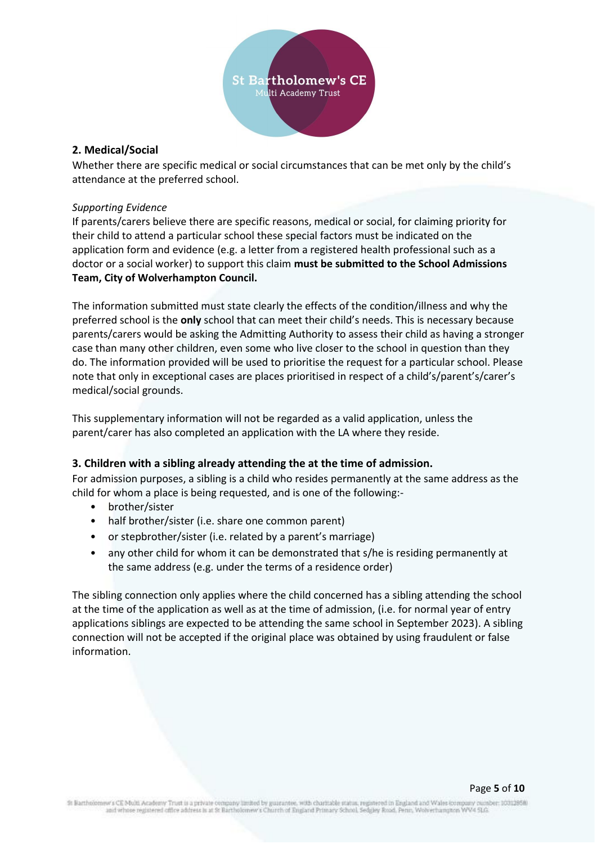

#### <span id="page-4-0"></span>**2. Medical/Social**

Whether there are specific medical or social circumstances that can be met only by the child's attendance at the preferred school.

#### *Supporting Evidence*

If parents/carers believe there are specific reasons, medical or social, for claiming priority for their child to attend a particular school these special factors must be indicated on the application form and evidence (e.g. a letter from a registered health professional such as a doctor or a social worker) to support this claim **must be submitted to the School Admissions Team, City of Wolverhampton Council.** 

The information submitted must state clearly the effects of the condition/illness and why the preferred school is the **only** school that can meet their child's needs. This is necessary because parents/carers would be asking the Admitting Authority to assess their child as having a stronger case than many other children, even some who live closer to the school in question than they do. The information provided will be used to prioritise the request for a particular school. Please note that only in exceptional cases are places prioritised in respect of a child's/parent's/carer's medical/social grounds.

This supplementary information will not be regarded as a valid application, unless the parent/carer has also completed an application with the LA where they reside.

#### <span id="page-4-1"></span>**3. Children with a sibling already attending the at the time of admission.**

For admission purposes, a sibling is a child who resides permanently at the same address as the child for whom a place is being requested, and is one of the following:-

- brother/sister
- half brother/sister (i.e. share one common parent)
- or stepbrother/sister (i.e. related by a parent's marriage)
- any other child for whom it can be demonstrated that s/he is residing permanently at the same address (e.g. under the terms of a residence order)

The sibling connection only applies where the child concerned has a sibling attending the school at the time of the application as well as at the time of admission, (i.e. for normal year of entry applications siblings are expected to be attending the same school in September 2023). A sibling connection will not be accepted if the original place was obtained by using fraudulent or false information.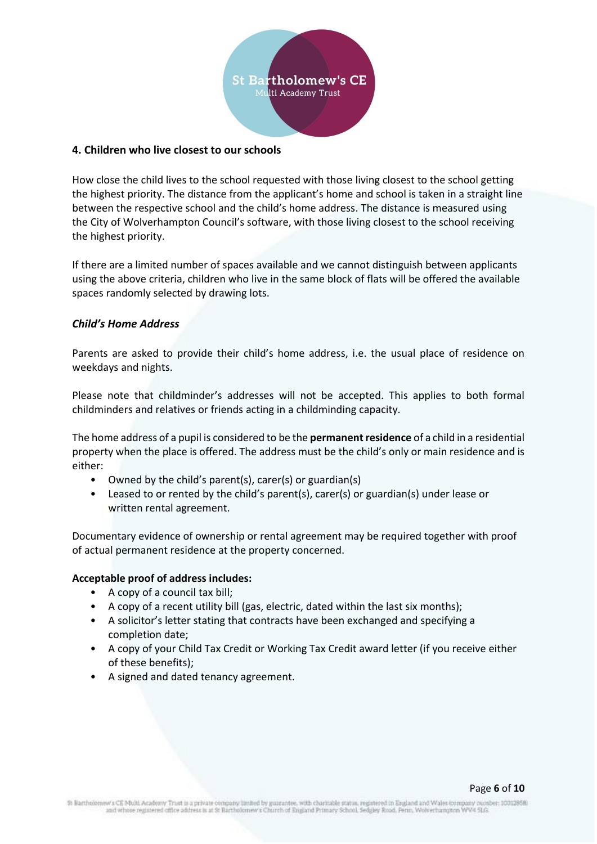

#### <span id="page-5-0"></span>**4. Children who live closest to our schools**

How close the child lives to the school requested with those living closest to the school getting the highest priority. The distance from the applicant's home and school is taken in a straight line between the respective school and the child's home address. The distance is measured using the City of Wolverhampton Council's software, with those living closest to the school receiving the highest priority.

If there are a limited number of spaces available and we cannot distinguish between applicants using the above criteria, children who live in the same block of flats will be offered the available spaces randomly selected by drawing lots.

#### <span id="page-5-1"></span>*Child's Home Address*

Parents are asked to provide their child's home address, i.e. the usual place of residence on weekdays and nights.

Please note that childminder's addresses will not be accepted. This applies to both formal childminders and relatives or friends acting in a childminding capacity.

The home address of a pupil is considered to be the **permanent residence** of a child in a residential property when the place is offered. The address must be the child's only or main residence and is either:

- Owned by the child's parent(s), carer(s) or guardian(s)
- Leased to or rented by the child's parent(s), carer(s) or guardian(s) under lease or written rental agreement.

Documentary evidence of ownership or rental agreement may be required together with proof of actual permanent residence at the property concerned.

#### **Acceptable proof of address includes:**

- A copy of a council tax bill;
- A copy of a recent utility bill (gas, electric, dated within the last six months);
- A solicitor's letter stating that contracts have been exchanged and specifying a completion date;
- A copy of your Child Tax Credit or Working Tax Credit award letter (if you receive either of these benefits);
- A signed and dated tenancy agreement.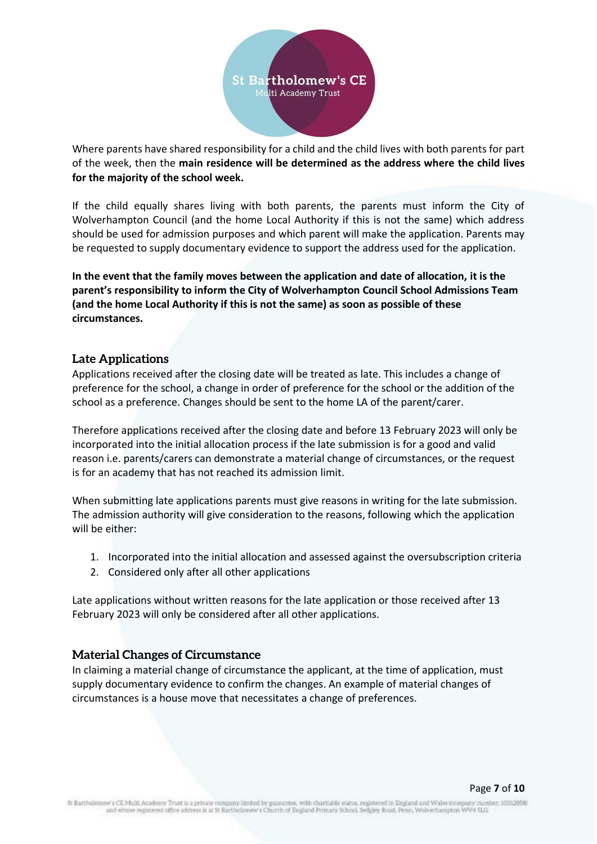

Where parents have shared responsibility for a child and the child lives with both parents for part of the week, then the **main residence will be determined as the address where the child lives for the majority of the school week.**

If the child equally shares living with both parents, the parents must inform the City of Wolverhampton Council (and the home Local Authority if this is not the same) which address should be used for admission purposes and which parent will make the application. Parents may be requested to supply documentary evidence to support the address used for the application.

**In the event that the family moves between the application and date of allocation, it is the parent's responsibility to inform the City of Wolverhampton Council School Admissions Team (and the home Local Authority if this is not the same) as soon as possible of these circumstances.**

#### <span id="page-6-0"></span>**Late Applications**

Applications received after the closing date will be treated as late. This includes a change of preference for the school, a change in order of preference for the school or the addition of the school as a preference. Changes should be sent to the home LA of the parent/carer.

Therefore applications received after the closing date and before 13 February 2023 will only be incorporated into the initial allocation process if the late submission is for a good and valid reason i.e. parents/carers can demonstrate a material change of circumstances, or the request is for an academy that has not reached its admission limit.

When submitting late applications parents must give reasons in writing for the late submission. The admission authority will give consideration to the reasons, following which the application will be either:

- 1. Incorporated into the initial allocation and assessed against the oversubscription criteria
- 2. Considered only after all other applications

Late applications without written reasons for the late application or those received after 13 February 2023 will only be considered after all other applications.

#### <span id="page-6-1"></span>**Material Changes of Circumstance**

In claiming a material change of circumstance the applicant, at the time of application, must supply documentary evidence to confirm the changes. An example of material changes of circumstances is a house move that necessitates a change of preferences.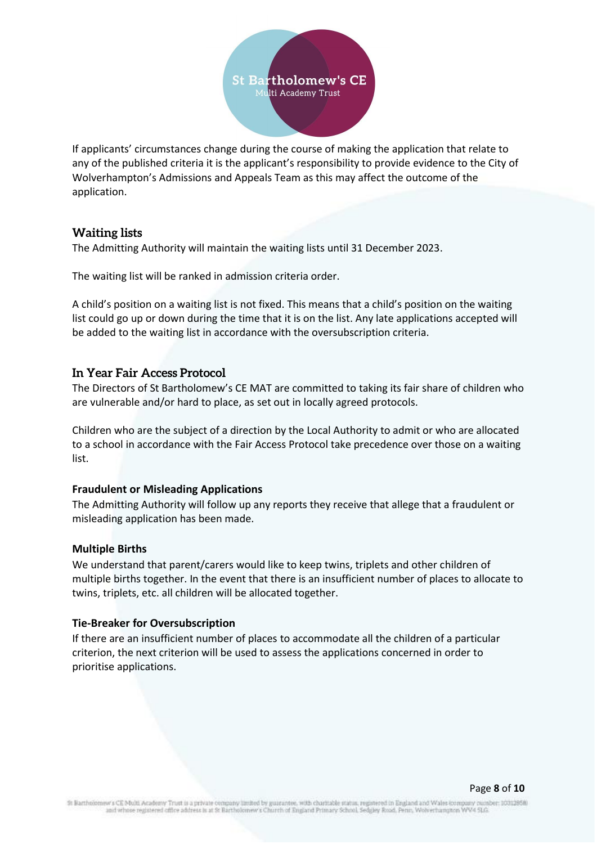

If applicants' circumstances change during the course of making the application that relate to any of the published criteria it is the applicant's responsibility to provide evidence to the City of Wolverhampton's Admissions and Appeals Team as this may affect the outcome of the application.

#### <span id="page-7-0"></span>**Waiting lists**

The Admitting Authority will maintain the waiting lists until 31 December 2023.

The waiting list will be ranked in admission criteria order.

A child's position on a waiting list is not fixed. This means that a child's position on the waiting list could go up or down during the time that it is on the list. Any late applications accepted will be added to the waiting list in accordance with the oversubscription criteria.

#### <span id="page-7-1"></span>**In Year Fair Access Protocol**

The Directors of St Bartholomew's CE MAT are committed to taking its fair share of children who are vulnerable and/or hard to place, as set out in locally agreed protocols.

Children who are the subject of a direction by the Local Authority to admit or who are allocated to a school in accordance with the Fair Access Protocol take precedence over those on a waiting list.

#### <span id="page-7-2"></span>**Fraudulent or Misleading Applications**

The Admitting Authority will follow up any reports they receive that allege that a fraudulent or misleading application has been made.

#### <span id="page-7-3"></span>**Multiple Births**

We understand that parent/carers would like to keep twins, triplets and other children of multiple births together. In the event that there is an insufficient number of places to allocate to twins, triplets, etc. all children will be allocated together.

#### <span id="page-7-4"></span>**Tie-Breaker for Oversubscription**

If there are an insufficient number of places to accommodate all the children of a particular criterion, the next criterion will be used to assess the applications concerned in order to prioritise applications.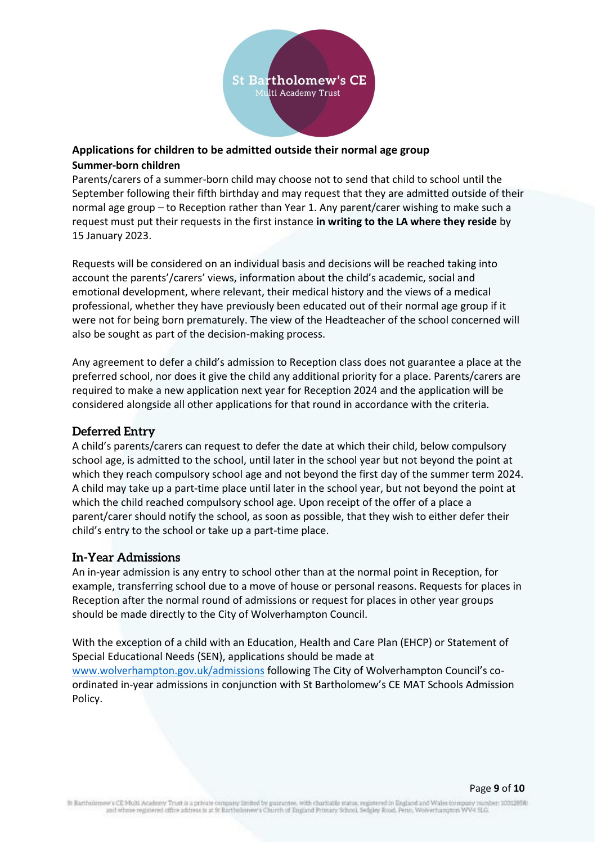

# <span id="page-8-0"></span>**Applications for children to be admitted outside their normal age group Summer-born children**

Parents/carers of a summer-born child may choose not to send that child to school until the September following their fifth birthday and may request that they are admitted outside of their normal age group – to Reception rather than Year 1. Any parent/carer wishing to make such a request must put their requests in the first instance **in writing to the LA where they reside** by 15 January 2023.

Requests will be considered on an individual basis and decisions will be reached taking into account the parents'/carers' views, information about the child's academic, social and emotional development, where relevant, their medical history and the views of a medical professional, whether they have previously been educated out of their normal age group if it were not for being born prematurely. The view of the Headteacher of the school concerned will also be sought as part of the decision-making process.

Any agreement to defer a child's admission to Reception class does not guarantee a place at the preferred school, nor does it give the child any additional priority for a place. Parents/carers are required to make a new application next year for Reception 2024 and the application will be considered alongside all other applications for that round in accordance with the criteria.

# <span id="page-8-1"></span>**Deferred Entry**

A child's parents/carers can request to defer the date at which their child, below compulsory school age, is admitted to the school, until later in the school year but not beyond the point at which they reach compulsory school age and not beyond the first day of the summer term 2024. A child may take up a part-time place until later in the school year, but not beyond the point at which the child reached compulsory school age. Upon receipt of the offer of a place a parent/carer should notify the school, as soon as possible, that they wish to either defer their child's entry to the school or take up a part-time place.

#### <span id="page-8-2"></span>**In-Year Admissions**

An in-year admission is any entry to school other than at the normal point in Reception, for example, transferring school due to a move of house or personal reasons. Requests for places in Reception after the normal round of admissions or request for places in other year groups should be made directly to the City of Wolverhampton Council.

With the exception of a child with an Education, Health and Care Plan (EHCP) or Statement of Special Educational Needs (SEN), applications should be made at [www.wolverhampton.gov.uk/admissions](http://www.wolverhampton.gov.uk/admissions) following The City of Wolverhampton Council's coordinated in-year admissions in conjunction with St Bartholomew's CE MAT Schools Admission Policy.